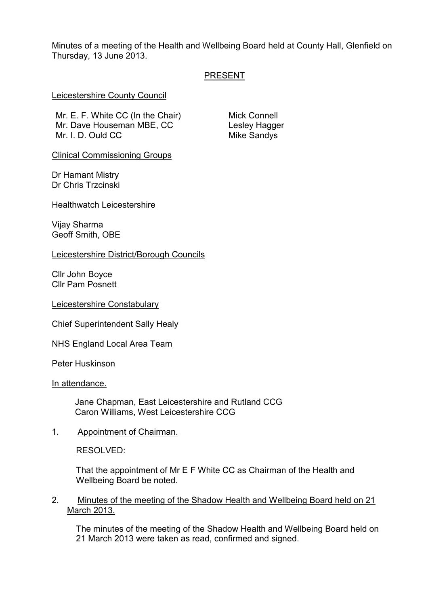Minutes of a meeting of the Health and Wellbeing Board held at County Hall, Glenfield on Thursday, 13 June 2013.

## PRESENT

### Leicestershire County Council

Mr. E. F. White CC (In the Chair) Mr. Dave Houseman MBE, CC Mr. I. D. Ould CC

Mick Connell Lesley Hagger Mike Sandys

Clinical Commissioning Groups

Dr Hamant Mistry Dr Chris Trzcinski

Healthwatch Leicestershire

Vijay Sharma Geoff Smith, OBE

Leicestershire District/Borough Councils

Cllr John Boyce Cllr Pam Posnett

Leicestershire Constabulary

Chief Superintendent Sally Healy

NHS England Local Area Team

Peter Huskinson

In attendance.

Jane Chapman, East Leicestershire and Rutland CCG Caron Williams, West Leicestershire CCG

1. Appointment of Chairman.

RESOLVED:

That the appointment of Mr E F White CC as Chairman of the Health and Wellbeing Board be noted.

2. Minutes of the meeting of the Shadow Health and Wellbeing Board held on 21 March 2013.

The minutes of the meeting of the Shadow Health and Wellbeing Board held on 21 March 2013 were taken as read, confirmed and signed.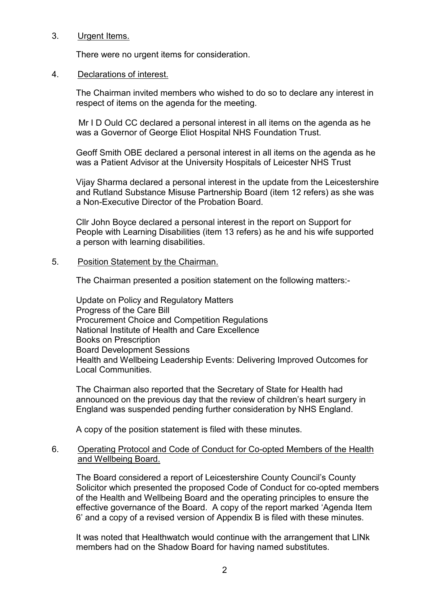## 3. Urgent Items.

There were no urgent items for consideration.

## 4. Declarations of interest.

The Chairman invited members who wished to do so to declare any interest in respect of items on the agenda for the meeting.

 Mr I D Ould CC declared a personal interest in all items on the agenda as he was a Governor of George Eliot Hospital NHS Foundation Trust.

Geoff Smith OBE declared a personal interest in all items on the agenda as he was a Patient Advisor at the University Hospitals of Leicester NHS Trust

Vijay Sharma declared a personal interest in the update from the Leicestershire and Rutland Substance Misuse Partnership Board (item 12 refers) as she was a Non-Executive Director of the Probation Board.

Cllr John Boyce declared a personal interest in the report on Support for People with Learning Disabilities (item 13 refers) as he and his wife supported a person with learning disabilities.

# 5. Position Statement by the Chairman.

The Chairman presented a position statement on the following matters:-

Update on Policy and Regulatory Matters Progress of the Care Bill Procurement Choice and Competition Regulations National Institute of Health and Care Excellence Books on Prescription Board Development Sessions Health and Wellbeing Leadership Events: Delivering Improved Outcomes for Local Communities.

The Chairman also reported that the Secretary of State for Health had announced on the previous day that the review of children's heart surgery in England was suspended pending further consideration by NHS England.

A copy of the position statement is filed with these minutes.

## 6. Operating Protocol and Code of Conduct for Co-opted Members of the Health and Wellbeing Board.

The Board considered a report of Leicestershire County Council's County Solicitor which presented the proposed Code of Conduct for co-opted members of the Health and Wellbeing Board and the operating principles to ensure the effective governance of the Board. A copy of the report marked 'Agenda Item 6' and a copy of a revised version of Appendix B is filed with these minutes.

It was noted that Healthwatch would continue with the arrangement that LINk members had on the Shadow Board for having named substitutes.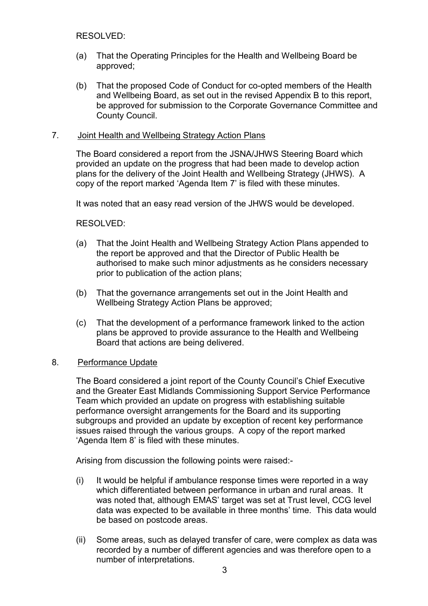## RESOLVED:

- (a) That the Operating Principles for the Health and Wellbeing Board be approved;
- (b) That the proposed Code of Conduct for co-opted members of the Health and Wellbeing Board, as set out in the revised Appendix B to this report, be approved for submission to the Corporate Governance Committee and County Council.

## 7. Joint Health and Wellbeing Strategy Action Plans

The Board considered a report from the JSNA/JHWS Steering Board which provided an update on the progress that had been made to develop action plans for the delivery of the Joint Health and Wellbeing Strategy (JHWS). A copy of the report marked 'Agenda Item 7' is filed with these minutes.

It was noted that an easy read version of the JHWS would be developed.

RESOLVED:

- (a) That the Joint Health and Wellbeing Strategy Action Plans appended to the report be approved and that the Director of Public Health be authorised to make such minor adjustments as he considers necessary prior to publication of the action plans;
- (b) That the governance arrangements set out in the Joint Health and Wellbeing Strategy Action Plans be approved;
- (c) That the development of a performance framework linked to the action plans be approved to provide assurance to the Health and Wellbeing Board that actions are being delivered.

### 8. Performance Update

The Board considered a joint report of the County Council's Chief Executive and the Greater East Midlands Commissioning Support Service Performance Team which provided an update on progress with establishing suitable performance oversight arrangements for the Board and its supporting subgroups and provided an update by exception of recent key performance issues raised through the various groups. A copy of the report marked 'Agenda Item 8' is filed with these minutes.

Arising from discussion the following points were raised:-

- (i) It would be helpful if ambulance response times were reported in a way which differentiated between performance in urban and rural areas. It was noted that, although EMAS' target was set at Trust level, CCG level data was expected to be available in three months' time. This data would be based on postcode areas.
- (ii) Some areas, such as delayed transfer of care, were complex as data was recorded by a number of different agencies and was therefore open to a number of interpretations.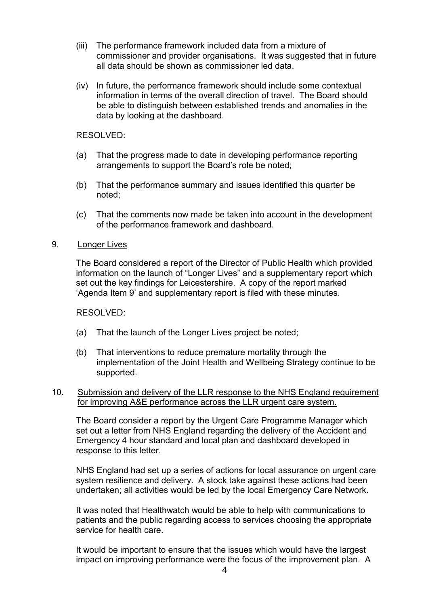- (iii) The performance framework included data from a mixture of commissioner and provider organisations. It was suggested that in future all data should be shown as commissioner led data.
- (iv) In future, the performance framework should include some contextual information in terms of the overall direction of travel. The Board should be able to distinguish between established trends and anomalies in the data by looking at the dashboard.

## RESOLVED:

- (a) That the progress made to date in developing performance reporting arrangements to support the Board's role be noted;
- (b) That the performance summary and issues identified this quarter be noted;
- (c) That the comments now made be taken into account in the development of the performance framework and dashboard.
- 9. Longer Lives

The Board considered a report of the Director of Public Health which provided information on the launch of "Longer Lives" and a supplementary report which set out the key findings for Leicestershire. A copy of the report marked 'Agenda Item 9' and supplementary report is filed with these minutes.

### RESOLVED:

- (a) That the launch of the Longer Lives project be noted;
- (b) That interventions to reduce premature mortality through the implementation of the Joint Health and Wellbeing Strategy continue to be supported.

## 10. Submission and delivery of the LLR response to the NHS England requirement for improving A&E performance across the LLR urgent care system.

The Board consider a report by the Urgent Care Programme Manager which set out a letter from NHS England regarding the delivery of the Accident and Emergency 4 hour standard and local plan and dashboard developed in response to this letter.

NHS England had set up a series of actions for local assurance on urgent care system resilience and delivery. A stock take against these actions had been undertaken; all activities would be led by the local Emergency Care Network.

It was noted that Healthwatch would be able to help with communications to patients and the public regarding access to services choosing the appropriate service for health care.

It would be important to ensure that the issues which would have the largest impact on improving performance were the focus of the improvement plan. A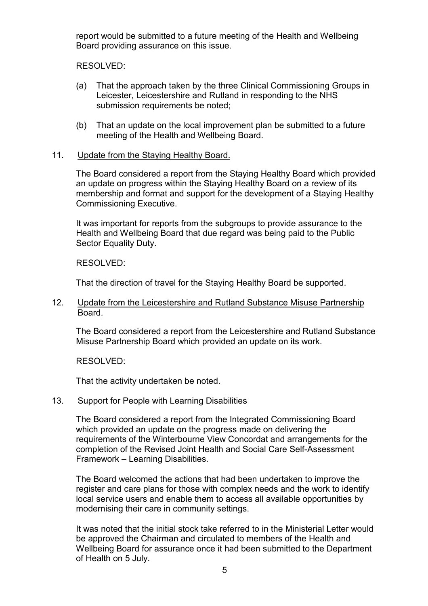report would be submitted to a future meeting of the Health and Wellbeing Board providing assurance on this issue.

RESOLVED:

- (a) That the approach taken by the three Clinical Commissioning Groups in Leicester, Leicestershire and Rutland in responding to the NHS submission requirements be noted;
- (b) That an update on the local improvement plan be submitted to a future meeting of the Health and Wellbeing Board.

# 11. Update from the Staying Healthy Board.

The Board considered a report from the Staying Healthy Board which provided an update on progress within the Staying Healthy Board on a review of its membership and format and support for the development of a Staying Healthy Commissioning Executive.

It was important for reports from the subgroups to provide assurance to the Health and Wellbeing Board that due regard was being paid to the Public Sector Equality Duty.

RESOLVED:

That the direction of travel for the Staying Healthy Board be supported.

# 12. Update from the Leicestershire and Rutland Substance Misuse Partnership Board.

The Board considered a report from the Leicestershire and Rutland Substance Misuse Partnership Board which provided an update on its work.

RESOLVED:

That the activity undertaken be noted.

# 13. Support for People with Learning Disabilities

The Board considered a report from the Integrated Commissioning Board which provided an update on the progress made on delivering the requirements of the Winterbourne View Concordat and arrangements for the completion of the Revised Joint Health and Social Care Self-Assessment Framework – Learning Disabilities.

The Board welcomed the actions that had been undertaken to improve the register and care plans for those with complex needs and the work to identify local service users and enable them to access all available opportunities by modernising their care in community settings.

It was noted that the initial stock take referred to in the Ministerial Letter would be approved the Chairman and circulated to members of the Health and Wellbeing Board for assurance once it had been submitted to the Department of Health on 5 July.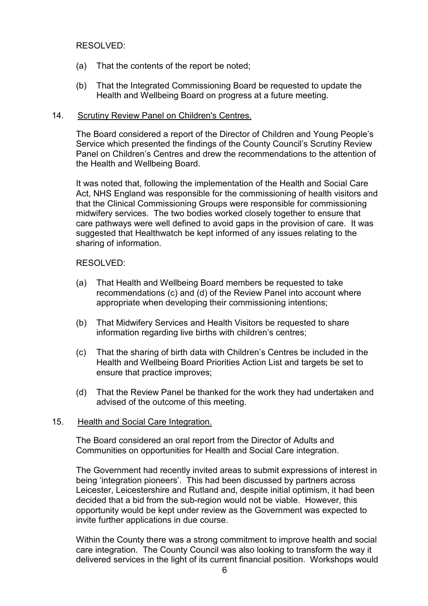## RESOLVED:

- (a) That the contents of the report be noted;
- (b) That the Integrated Commissioning Board be requested to update the Health and Wellbeing Board on progress at a future meeting.

## 14. Scrutiny Review Panel on Children's Centres.

The Board considered a report of the Director of Children and Young People's Service which presented the findings of the County Council's Scrutiny Review Panel on Children's Centres and drew the recommendations to the attention of the Health and Wellbeing Board.

It was noted that, following the implementation of the Health and Social Care Act, NHS England was responsible for the commissioning of health visitors and that the Clinical Commissioning Groups were responsible for commissioning midwifery services. The two bodies worked closely together to ensure that care pathways were well defined to avoid gaps in the provision of care. It was suggested that Healthwatch be kept informed of any issues relating to the sharing of information.

## RESOLVED:

- (a) That Health and Wellbeing Board members be requested to take recommendations (c) and (d) of the Review Panel into account where appropriate when developing their commissioning intentions;
- (b) That Midwifery Services and Health Visitors be requested to share information regarding live births with children's centres;
- (c) That the sharing of birth data with Children's Centres be included in the Health and Wellbeing Board Priorities Action List and targets be set to ensure that practice improves;
- (d) That the Review Panel be thanked for the work they had undertaken and advised of the outcome of this meeting.

### 15. Health and Social Care Integration.

The Board considered an oral report from the Director of Adults and Communities on opportunities for Health and Social Care integration.

The Government had recently invited areas to submit expressions of interest in being 'integration pioneers'. This had been discussed by partners across Leicester, Leicestershire and Rutland and, despite initial optimism, it had been decided that a bid from the sub-region would not be viable. However, this opportunity would be kept under review as the Government was expected to invite further applications in due course.

Within the County there was a strong commitment to improve health and social care integration. The County Council was also looking to transform the way it delivered services in the light of its current financial position. Workshops would